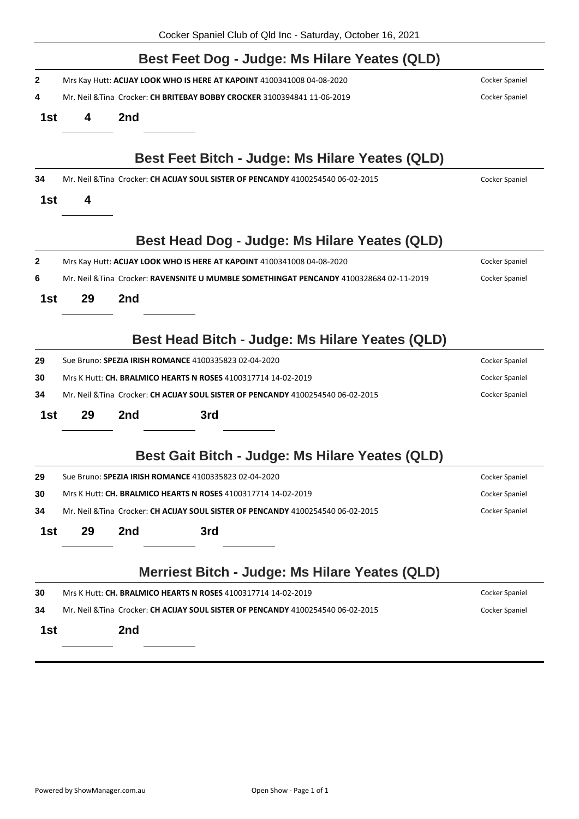|     |                                                                                                    |                | Best Feet Dog - Judge: Ms Hilare Yeates (QLD)                                          |                |  |  |  |  |
|-----|----------------------------------------------------------------------------------------------------|----------------|----------------------------------------------------------------------------------------|----------------|--|--|--|--|
| 2   |                                                                                                    |                | Mrs Kay Hutt: ACIJAY LOOK WHO IS HERE AT KAPOINT 4100341008 04-08-2020                 | Cocker Spaniel |  |  |  |  |
| 4   | Mr. Neil & Tina Crocker: CH BRITEBAY BOBBY CROCKER 3100394841 11-06-2019                           | Cocker Spaniel |                                                                                        |                |  |  |  |  |
| 1st | 4                                                                                                  | 2nd            |                                                                                        |                |  |  |  |  |
|     |                                                                                                    |                | Best Feet Bitch - Judge: Ms Hilare Yeates (QLD)                                        |                |  |  |  |  |
| 34  |                                                                                                    |                | Mr. Neil & Tina Crocker: CH ACIJAY SOUL SISTER OF PENCANDY 4100254540 06-02-2015       | Cocker Spaniel |  |  |  |  |
| 1st | 4                                                                                                  |                |                                                                                        |                |  |  |  |  |
|     |                                                                                                    |                | Best Head Dog - Judge: Ms Hilare Yeates (QLD)                                          |                |  |  |  |  |
| 2   |                                                                                                    |                | Mrs Kay Hutt: ACIJAY LOOK WHO IS HERE AT KAPOINT 4100341008 04-08-2020                 | Cocker Spaniel |  |  |  |  |
| 6   |                                                                                                    |                | Mr. Neil &Tina Crocker: RAVENSNITE U MUMBLE SOMETHINGAT PENCANDY 4100328684 02-11-2019 | Cocker Spaniel |  |  |  |  |
| 1st | 29                                                                                                 | 2nd            |                                                                                        |                |  |  |  |  |
|     |                                                                                                    |                | Best Head Bitch - Judge: Ms Hilare Yeates (QLD)                                        |                |  |  |  |  |
| 29  |                                                                                                    |                | Sue Bruno: SPEZIA IRISH ROMANCE 4100335823 02-04-2020                                  | Cocker Spaniel |  |  |  |  |
| 30  | Mrs K Hutt: CH. BRALMICO HEARTS N ROSES 4100317714 14-02-2019<br>Cocker Spaniel                    |                |                                                                                        |                |  |  |  |  |
| 34  | Mr. Neil & Tina Crocker: CH ACIJAY SOUL SISTER OF PENCANDY 4100254540 06-02-2015<br>Cocker Spaniel |                |                                                                                        |                |  |  |  |  |
| 1st | 29                                                                                                 | 2nd            | 3rd                                                                                    |                |  |  |  |  |
|     |                                                                                                    |                | Best Gait Bitch - Judge: Ms Hilare Yeates (QLD)                                        |                |  |  |  |  |
| 29  |                                                                                                    |                | Sue Bruno: SPEZIA IRISH ROMANCE 4100335823 02-04-2020                                  | Cocker Spaniel |  |  |  |  |
| 30  | Mrs K Hutt: <b>CH. BRALMICO HEARTS N ROSES</b> 4100317714 14-02-2019                               | Cocker Spaniel |                                                                                        |                |  |  |  |  |
| 34  | Mr. Neil & Tina Crocker: CH ACIJAY SOUL SISTER OF PENCANDY 4100254540 06-02-2015<br>Cocker Spaniel |                |                                                                                        |                |  |  |  |  |
| 1st | 29                                                                                                 | 2nd            | 3rd                                                                                    |                |  |  |  |  |
|     |                                                                                                    |                | Merriest Bitch - Judge: Ms Hilare Yeates (QLD)                                         |                |  |  |  |  |
| 30  |                                                                                                    |                | Mrs K Hutt: CH. BRALMICO HEARTS N ROSES 4100317714 14-02-2019                          | Cocker Spaniel |  |  |  |  |
| 34  | Mr. Neil & Tina Crocker: CH ACIJAY SOUL SISTER OF PENCANDY 4100254540 06-02-2015<br>Cocker Spaniel |                |                                                                                        |                |  |  |  |  |
| 1st |                                                                                                    | 2nd            |                                                                                        |                |  |  |  |  |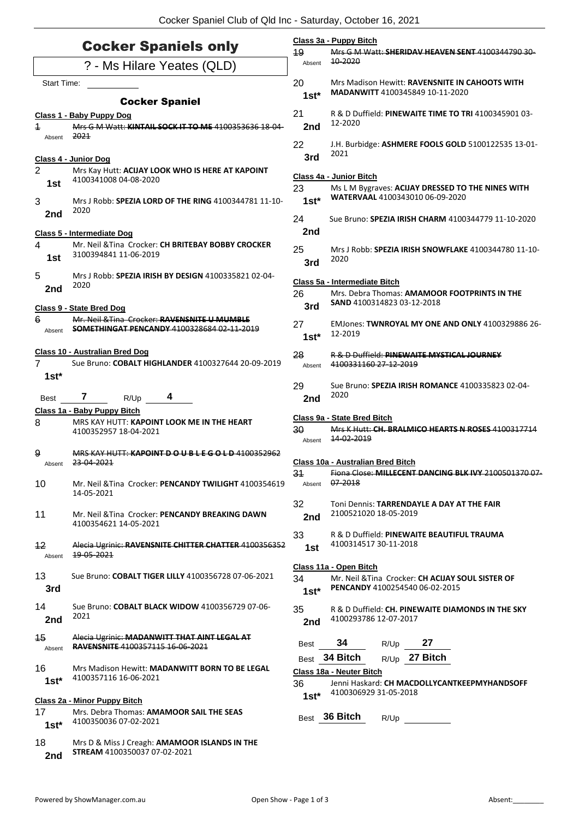| <b>Cocker Spaniels only</b> |                                                                                                   |              | Class 3a - Puppy Bitch<br>49<br>Mrs G M Watt: SHERIDAV HEAVEN SENT 4100344790 30      |                                                                                                               |                                                       |                                                             |  |
|-----------------------------|---------------------------------------------------------------------------------------------------|--------------|---------------------------------------------------------------------------------------|---------------------------------------------------------------------------------------------------------------|-------------------------------------------------------|-------------------------------------------------------------|--|
| ? - Ms Hilare Yeates (QLD)  |                                                                                                   |              | 10-2020<br>Absent                                                                     |                                                                                                               |                                                       |                                                             |  |
| Start Time:                 |                                                                                                   | 20<br>$1st*$ |                                                                                       | Mrs Madison Hewitt: RAVENSNITE IN CAHOOTS WITH<br>MADANWITT 4100345849 10-11-2020                             |                                                       |                                                             |  |
|                             | <b>Cocker Spaniel</b>                                                                             | 21           |                                                                                       |                                                                                                               |                                                       | R & D Duffield: <b>PINEWAITE TIME TO TRI</b> 4100345901 03- |  |
| $\overline{\mathbf{1}}$     | Class 1 - Baby Puppy Dog<br>Mrs G M Watt: KINTAIL SOCK IT TO ME 4100353636 18-04-                 | 2nd          | 12-2020                                                                               |                                                                                                               |                                                       |                                                             |  |
| Absent                      | 2021                                                                                              | 22           |                                                                                       |                                                                                                               |                                                       | J.H. Burbidge: ASHMERE FOOLS GOLD 5100122535 13-01-         |  |
|                             | Class 4 - Junior Dog                                                                              | 3rd          | 2021                                                                                  |                                                                                                               |                                                       |                                                             |  |
| $\overline{2}$<br>1st       | Mrs Kay Hutt: ACIJAY LOOK WHO IS HERE AT KAPOINT<br>4100341008 04-08-2020                         |              | Class 4a - Junior Bitch<br>23<br>Ms L M Bygraves: ACIJAY DRESSED TO THE NINES WITH    |                                                                                                               |                                                       |                                                             |  |
| 3                           | Mrs J Robb: SPEZIA LORD OF THE RING 4100344781 11-10-<br>2020                                     |              | $1st*$                                                                                | WATERVAAL 4100343010 06-09-2020                                                                               |                                                       |                                                             |  |
| 2nd                         |                                                                                                   | 24           |                                                                                       |                                                                                                               |                                                       | Sue Bruno: SPEZIA IRISH CHARM 4100344779 11-10-2020         |  |
|                             | <b>Class 5 - Intermediate Dog</b>                                                                 | 2nd          |                                                                                       |                                                                                                               |                                                       |                                                             |  |
| 4<br>1st                    | Mr. Neil & Tina Crocker: CH BRITEBAY BOBBY CROCKER<br>3100394841 11-06-2019                       | 25<br>3rd    | 2020                                                                                  | Mrs J Robb: SPEZIA IRISH SNOWFLAKE 4100344780 11-10-                                                          |                                                       |                                                             |  |
| 5                           | Mrs J Robb: SPEZIA IRISH BY DESIGN 4100335821 02-04-                                              |              | Class 5a - Intermediate Bitch                                                         |                                                                                                               |                                                       |                                                             |  |
| 2nd                         | 2020                                                                                              |              | 26<br>Mrs. Debra Thomas: AMAMOOR FOOTPRINTS IN THE                                    |                                                                                                               |                                                       |                                                             |  |
|                             | Class 9 - State Bred Dog                                                                          | 3rd          | SAND 4100314823 03-12-2018                                                            |                                                                                                               |                                                       |                                                             |  |
| 6<br>Absent                 | Mr. Neil & Tina Crocker: RAVENSNITE U MUMBLE<br><b>SOMETHINGAT PENCANDY 4100328684 02-11-2019</b> | 27<br>$1st*$ | 12-2019                                                                               |                                                                                                               |                                                       | EMJones: TWNROYAL MY ONE AND ONLY 4100329886 26-            |  |
| $\overline{7}$              | Class 10 - Australian Bred Dog<br>Sue Bruno: COBALT HIGHLANDER 4100327644 20-09-2019              | 28<br>Absent | 4100331160 27-12-2019                                                                 |                                                                                                               | <b>R &amp; D Duffield: PINEWAITE MYSTICAL JOURNEY</b> |                                                             |  |
| $1st*$                      |                                                                                                   |              |                                                                                       |                                                                                                               |                                                       |                                                             |  |
| Best                        | 7<br>4<br>R/Up                                                                                    | 29<br>2nd    | 2020                                                                                  |                                                                                                               |                                                       | Sue Bruno: SPEZIA IRISH ROMANCE 4100335823 02-04-           |  |
|                             | Class 1a - Baby Puppy Bitch                                                                       |              | Class 9a - State Bred Bitch                                                           |                                                                                                               |                                                       |                                                             |  |
| 8                           | MRS KAY HUTT: KAPOINT LOOK ME IN THE HEART<br>4100352957 18-04-2021                               | 30<br>Absent | 14-02-2019                                                                            |                                                                                                               |                                                       | Mrs K Hutt: CH. BRALMICO HEARTS N ROSES 4100317714          |  |
| 9<br>Absent                 | MRS KAY HUTT: KAPOINT DO U B L E G O L D 4100352962<br>23-04-2021                                 |              | Class 10a - Australian Bred Bitch                                                     |                                                                                                               |                                                       |                                                             |  |
| 10                          | Mr. Neil & Tina Crocker: PENCANDY TWILIGHT 4100354619<br>14-05-2021                               | 34<br>Absent | 07-2018                                                                               |                                                                                                               |                                                       | Fiona Close: MILLECENT DANCING BLK IVY 2100501370 07        |  |
| 11                          | Mr. Neil & Tina Crocker: PENCANDY BREAKING DAWN<br>4100354621 14-05-2021                          | 32<br>2nd    |                                                                                       | Toni Dennis: TARRENDAYLE A DAY AT THE FAIR<br>2100521020 18-05-2019                                           |                                                       |                                                             |  |
| 12                          | Alecia Ugrinic: RAVENSNITE CHITTER CHATTER 4100356352                                             | 33<br>1st    | R & D Duffield: PINEWAITE BEAUTIFUL TRAUMA<br>4100314517 30-11-2018                   |                                                                                                               |                                                       |                                                             |  |
| Absent                      | 19-05-2021                                                                                        |              |                                                                                       |                                                                                                               |                                                       |                                                             |  |
| 13<br>3rd                   | Sue Bruno: COBALT TIGER LILLY 4100356728 07-06-2021                                               | 34<br>$1st*$ |                                                                                       | Class 11a - Open Bitch<br>Mr. Neil & Tina Crocker: CH ACIJAY SOUL SISTER OF<br>PENCANDY 4100254540 06-02-2015 |                                                       |                                                             |  |
| 14<br>2nd                   | Sue Bruno: COBALT BLACK WIDOW 4100356729 07-06-<br>2021                                           | 35<br>2nd    | 4100293786 12-07-2017                                                                 |                                                                                                               |                                                       | R & D Duffield: CH. PINEWAITE DIAMONDS IN THE SKY           |  |
| 15<br>Absent                | Alecia Ugrinic: MADANWITT THAT AINT LEGAL AT<br><b>RAVENSNITE 4100357115 16 06 2021</b>           | <b>Best</b>  | 34                                                                                    | R/Up                                                                                                          | 27                                                    |                                                             |  |
|                             |                                                                                                   |              | Best 34 Bitch                                                                         |                                                                                                               | R/Up 27 Bitch                                         |                                                             |  |
| 16<br>$1st*$                | Mrs Madison Hewitt: MADANWITT BORN TO BE LEGAL<br>4100357116 16-06-2021                           |              | Class 18a - Neuter Bitch                                                              |                                                                                                               |                                                       |                                                             |  |
|                             |                                                                                                   |              | 36<br>Jenni Haskard: CH MACDOLLYCANTKEEPMYHANDSOFF<br>4100306929 31-05-2018<br>$1st*$ |                                                                                                               |                                                       |                                                             |  |
|                             | Class 2a - Minor Puppy Bitch                                                                      |              |                                                                                       |                                                                                                               |                                                       |                                                             |  |
| 17<br>$1st*$                | Mrs. Debra Thomas: AMAMOOR SAIL THE SEAS<br>4100350036 07-02-2021                                 |              | Best 36 Bitch                                                                         | R/Up                                                                                                          |                                                       |                                                             |  |
| 18<br>2nd                   | Mrs D & Miss J Creagh: AMAMOOR ISLANDS IN THE<br>STREAM 4100350037 07-02-2021                     |              |                                                                                       |                                                                                                               |                                                       |                                                             |  |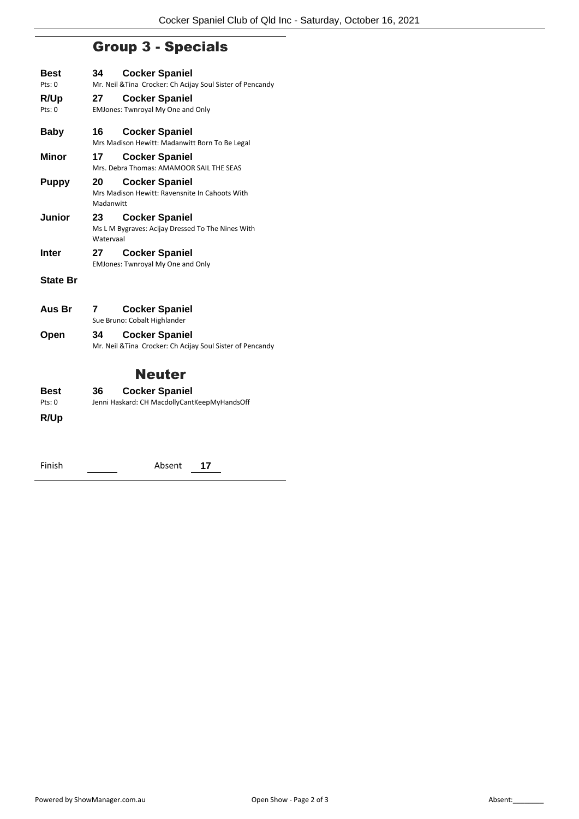## Group 3 - Specials

| Best            | 34        | <b>Cocker Spaniel</b>                                      |
|-----------------|-----------|------------------------------------------------------------|
| Pts: 0          |           | Mr. Neil & Tina Crocker: Ch Acijay Soul Sister of Pencandy |
| R/Up            | 27        | <b>Cocker Spaniel</b>                                      |
| Pts: 0          |           | <b>EMJones: Twnroyal My One and Only</b>                   |
| Baby            | 16        | <b>Cocker Spaniel</b>                                      |
|                 |           | Mrs Madison Hewitt: Madanwitt Born To Be Legal             |
| Minor           | 17        | <b>Cocker Spaniel</b>                                      |
|                 |           | Mrs. Debra Thomas: AMAMOOR SAIL THE SEAS                   |
| <b>Puppy</b>    | 20        | <b>Cocker Spaniel</b>                                      |
|                 |           | Mrs Madison Hewitt: Ravensnite In Cahoots With             |
|                 | Madanwitt |                                                            |
| Junior          | 23.       | <b>Cocker Spaniel</b>                                      |
|                 | Watervaal | Ms L M Bygraves: Acijay Dressed To The Nines With          |
| Inter           | 27        | <b>Cocker Spaniel</b>                                      |
|                 |           | <b>EMJones: Twnroyal My One and Only</b>                   |
| <b>State Br</b> |           |                                                            |
|                 |           |                                                            |
| Aus Br          | 7         | <b>Cocker Spaniel</b>                                      |
|                 |           | Sue Bruno: Cobalt Highlander                               |
| Open            | 34        | <b>Cocker Spaniel</b>                                      |
|                 |           | Mr. Neil & Tina Crocker: Ch Acijay Soul Sister of Pencandy |
|                 |           |                                                            |
|                 |           | Neuter                                                     |
| Best            | 36        | <b>Cocker Spaniel</b>                                      |
| Pts: 0          |           | Jenni Haskard: CH MacdollyCantKeepMyHandsOff               |

**R/Up**

| Absent |
|--------|
|--------|